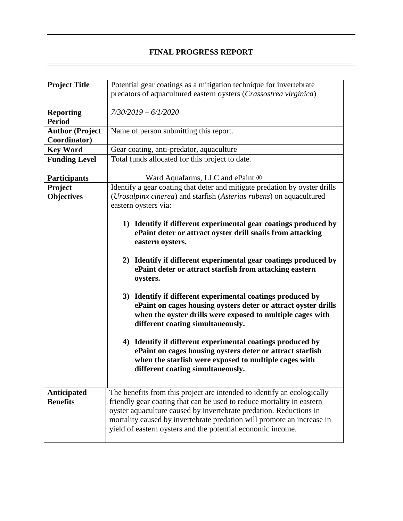# **FINAL PROGRESS REPORT**  \_\_\_\_\_\_\_\_\_\_\_\_\_\_\_\_\_\_\_\_\_\_\_\_\_\_\_\_\_\_\_\_\_\_\_\_\_\_\_\_\_\_\_\_\_\_\_\_\_\_\_\_\_\_\_\_\_\_\_\_\_\_\_\_\_\_\_\_\_\_\_\_\_\_\_\_\_

| Potential gear coatings as a mitigation technique for invertebrate<br>predators of aquacultured eastern oysters (Crassostrea virginica)                                                                                                                                                                                                                                                                                                                                                                                                                                                                                                                                                                                                                    |
|------------------------------------------------------------------------------------------------------------------------------------------------------------------------------------------------------------------------------------------------------------------------------------------------------------------------------------------------------------------------------------------------------------------------------------------------------------------------------------------------------------------------------------------------------------------------------------------------------------------------------------------------------------------------------------------------------------------------------------------------------------|
| $7/30/2019 - 6/1/2020$                                                                                                                                                                                                                                                                                                                                                                                                                                                                                                                                                                                                                                                                                                                                     |
| Name of person submitting this report.                                                                                                                                                                                                                                                                                                                                                                                                                                                                                                                                                                                                                                                                                                                     |
| Gear coating, anti-predator, aquaculture                                                                                                                                                                                                                                                                                                                                                                                                                                                                                                                                                                                                                                                                                                                   |
| Total funds allocated for this project to date.                                                                                                                                                                                                                                                                                                                                                                                                                                                                                                                                                                                                                                                                                                            |
| Ward Aquafarms, LLC and ePaint ®                                                                                                                                                                                                                                                                                                                                                                                                                                                                                                                                                                                                                                                                                                                           |
| Identify a gear coating that deter and mitigate predation by oyster drills                                                                                                                                                                                                                                                                                                                                                                                                                                                                                                                                                                                                                                                                                 |
| (Urosalpinx cinerea) and starfish (Asterias rubens) on aquacultured                                                                                                                                                                                                                                                                                                                                                                                                                                                                                                                                                                                                                                                                                        |
| eastern oysters via:                                                                                                                                                                                                                                                                                                                                                                                                                                                                                                                                                                                                                                                                                                                                       |
| 1) Identify if different experimental gear coatings produced by<br>ePaint deter or attract oyster drill snails from attacking<br>eastern oysters.<br>2) Identify if different experimental gear coatings produced by<br>ePaint deter or attract starfish from attacking eastern<br>oysters.<br>3) Identify if different experimental coatings produced by<br>ePaint on cages housing oysters deter or attract oyster drills<br>when the oyster drills were exposed to multiple cages with<br>different coating simultaneously.<br>Identify if different experimental coatings produced by<br>4)<br>ePaint on cages housing oysters deter or attract starfish<br>when the starfish were exposed to multiple cages with<br>different coating simultaneously. |
| The benefits from this project are intended to identify an ecologically<br>friendly gear coating that can be used to reduce mortality in eastern<br>oyster aquaculture caused by invertebrate predation. Reductions in<br>mortality caused by invertebrate predation will promote an increase in<br>yield of eastern oysters and the potential economic income.                                                                                                                                                                                                                                                                                                                                                                                            |
|                                                                                                                                                                                                                                                                                                                                                                                                                                                                                                                                                                                                                                                                                                                                                            |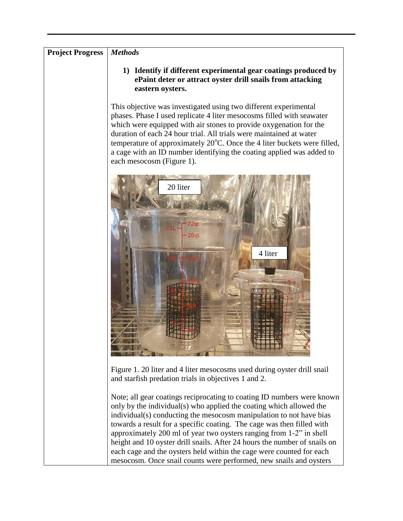# **Project Progress** *Methods*

**1) Identify if different experimental gear coatings produced by ePaint deter or attract oyster drill snails from attacking eastern oysters.** 

This objective was investigated using two different experimental phases. Phase I used replicate 4 liter mesocosms filled with seawater which were equipped with air stones to provide oxygenation for the duration of each 24 hour trial. All trials were maintained at water temperature of approximately  $20^{\circ}$ C. Once the 4 liter buckets were filled, a cage with an ID number identifying the coating applied was added to each mesocosm (Figure 1).



Figure 1. 20 liter and 4 liter mesocosms used during oyster drill snail and starfish predation trials in objectives 1 and 2.

Note; all gear coatings reciprocating to coating ID numbers were known only by the individual(s) who applied the coating which allowed the individual(s) conducting the mesocosm manipulation to not have bias towards a result for a specific coating. The cage was then filled with approximately 200 ml of year two oysters ranging from 1-2" in shell height and 10 oyster drill snails. After 24 hours the number of snails on each cage and the oysters held within the cage were counted for each mesocosm. Once snail counts were performed, new snails and oysters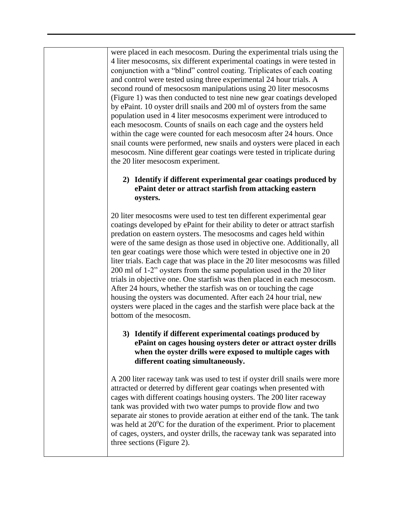were placed in each mesocosm. During the experimental trials using the 4 liter mesocosms, six different experimental coatings in were tested in conjunction with a "blind" control coating. Triplicates of each coating and control were tested using three experimental 24 hour trials. A second round of mesocsosm manipulations using 20 liter mesocosms (Figure 1) was then conducted to test nine new gear coatings developed by ePaint. 10 oyster drill snails and 200 ml of oysters from the same population used in 4 liter mesocosms experiment were introduced to each mesocosm. Counts of snails on each cage and the oysters held within the cage were counted for each mesocosm after 24 hours. Once snail counts were performed, new snails and oysters were placed in each mesocosm. Nine different gear coatings were tested in triplicate during the 20 liter mesocosm experiment.

# **2) Identify if different experimental gear coatings produced by ePaint deter or attract starfish from attacking eastern oysters.**

20 liter mesocosms were used to test ten different experimental gear coatings developed by ePaint for their ability to deter or attract starfish predation on eastern oysters. The mesocosms and cages held within were of the same design as those used in objective one. Additionally, all ten gear coatings were those which were tested in objective one in 20 liter trials. Each cage that was place in the 20 liter mesocosms was filled 200 ml of 1-2" oysters from the same population used in the 20 liter trials in objective one. One starfish was then placed in each mesocosm. After 24 hours, whether the starfish was on or touching the cage housing the oysters was documented. After each 24 hour trial, new oysters were placed in the cages and the starfish were place back at the bottom of the mesocosm.

# **3) Identify if different experimental coatings produced by ePaint on cages housing oysters deter or attract oyster drills when the oyster drills were exposed to multiple cages with different coating simultaneously.**

A 200 liter raceway tank was used to test if oyster drill snails were more attracted or deterred by different gear coatings when presented with cages with different coatings housing oysters. The 200 liter raceway tank was provided with two water pumps to provide flow and two separate air stones to provide aeration at either end of the tank. The tank was held at  $20^{\circ}$ C for the duration of the experiment. Prior to placement of cages, oysters, and oyster drills, the raceway tank was separated into three sections (Figure 2).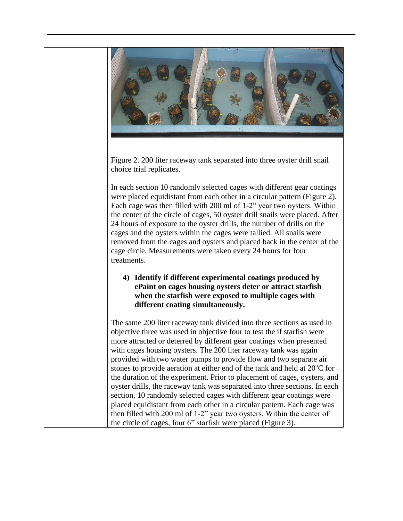

Figure 2. 200 liter raceway tank separated into three oyster drill snail choice trial replicates.

In each section 10 randomly selected cages with different gear coatings were placed equidistant from each other in a circular pattern (Figure 2). Each cage was then filled with 200 ml of 1-2" year two oysters. Within the center of the circle of cages, 50 oyster drill snails were placed. After 24 hours of exposure to the oyster drills, the number of drills on the cages and the oysters within the cages were tallied. All snails were removed from the cages and oysters and placed back in the center of the cage circle. Measurements were taken every 24 hours for four treatments.

#### **4) Identify if different experimental coatings produced by ePaint on cages housing oysters deter or attract starfish when the starfish were exposed to multiple cages with different coating simultaneously.**

The same 200 liter raceway tank divided into three sections as used in objective three was used in objective four to test the if starfish were more attracted or deterred by different gear coatings when presented with cages housing oysters. The 200 liter raceway tank was again provided with two water pumps to provide flow and two separate air stones to provide aeration at either end of the tank and held at  $20^{\circ}$ C for the duration of the experiment. Prior to placement of cages, oysters, and oyster drills, the raceway tank was separated into three sections. In each section, 10 randomly selected cages with different gear coatings were placed equidistant from each other in a circular pattern. Each cage was then filled with 200 ml of 1-2" year two oysters. Within the center of the circle of cages, four 6" starfish were placed (Figure 3).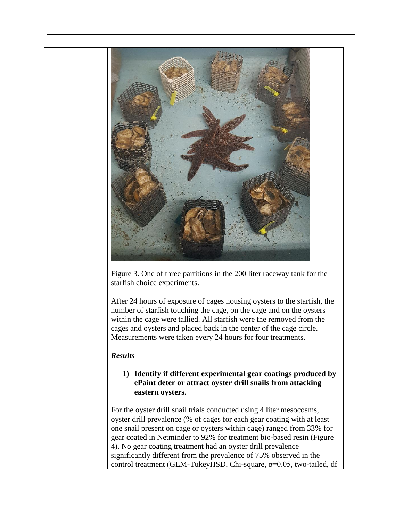

Figure 3. One of three partitions in the 200 liter raceway tank for the starfish choice experiments.

After 24 hours of exposure of cages housing oysters to the starfish, the number of starfish touching the cage, on the cage and on the oysters within the cage were tallied. All starfish were the removed from the cages and oysters and placed back in the center of the cage circle. Measurements were taken every 24 hours for four treatments.

#### *Results*

# **1) Identify if different experimental gear coatings produced by ePaint deter or attract oyster drill snails from attacking eastern oysters.**

For the oyster drill snail trials conducted using 4 liter mesocosms, oyster drill prevalence (% of cages for each gear coating with at least one snail present on cage or oysters within cage) ranged from 33% for gear coated in Netminder to 92% for treatment bio-based resin (Figure 4). No gear coating treatment had an oyster drill prevalence significantly different from the prevalence of 75% observed in the control treatment (GLM-TukeyHSD, Chi-square, α=0.05, two-tailed, df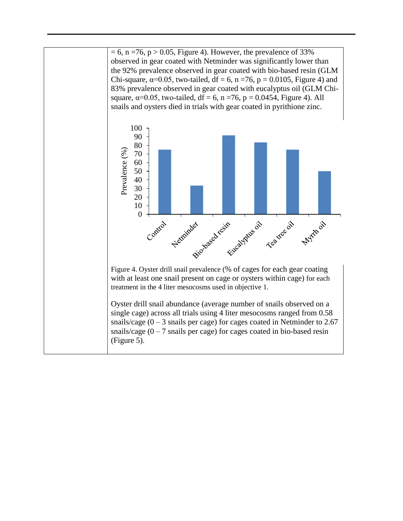$= 6$ , n =76, p > 0.05, Figure 4). However, the prevalence of 33% observed in gear coated with Netminder was significantly lower than the 92% prevalence observed in gear coated with bio-based resin (GLM Chi-square,  $α=0.05$ , two-tailed,  $df = 6$ ,  $n = 76$ ,  $p = 0.0105$ , Figure 4) and 83% prevalence observed in gear coated with eucalyptus oil (GLM Chisquare,  $\alpha$ =0.05, two-tailed, df = 6, n = 76, p = 0.0454, Figure 4). All snails and oysters died in trials with gear coated in pyrithione zinc.



Figure 4. Oyster drill snail prevalence (% of cages for each gear coating with at least one snail present on cage or oysters within cage) for each treatment in the 4 liter mesocosms used in objective 1.

Oyster drill snail abundance (average number of snails observed on a single cage) across all trials using 4 liter mesocosms ranged from 0.58 snails/cage  $(0 - 3$  snails per cage) for cages coated in Netminder to 2.67 snails/cage  $(0 - 7)$  snails per cage) for cages coated in bio-based resin (Figure 5).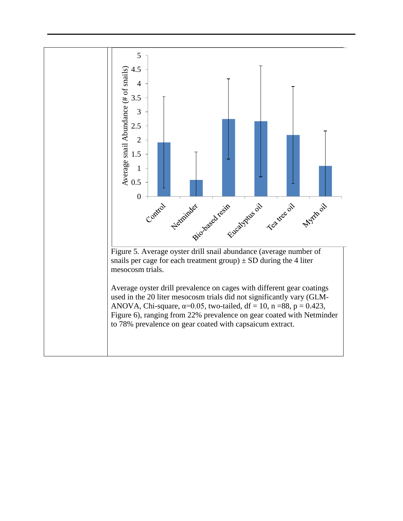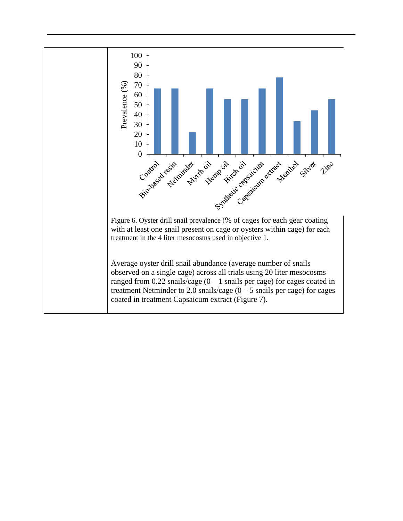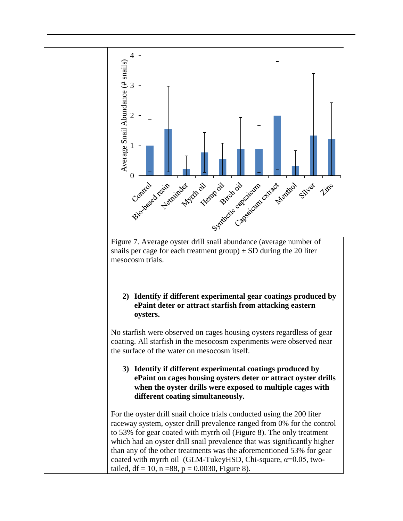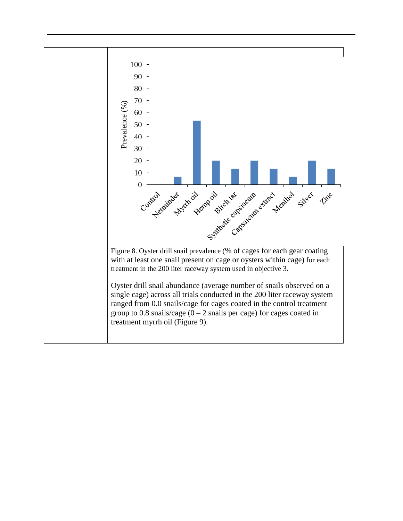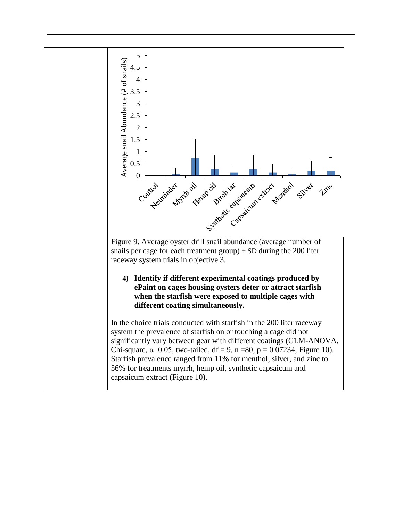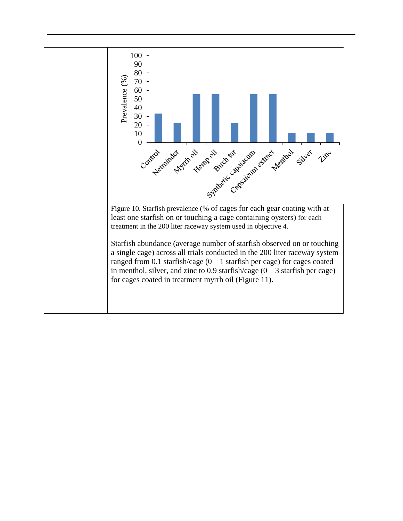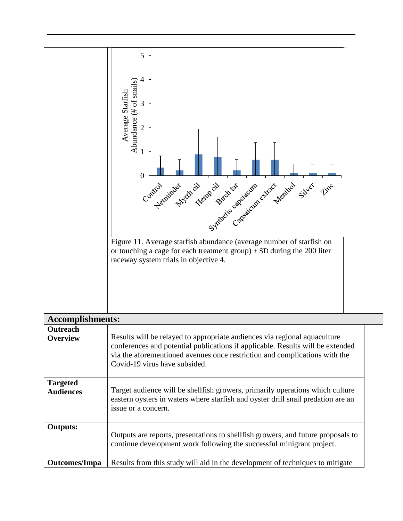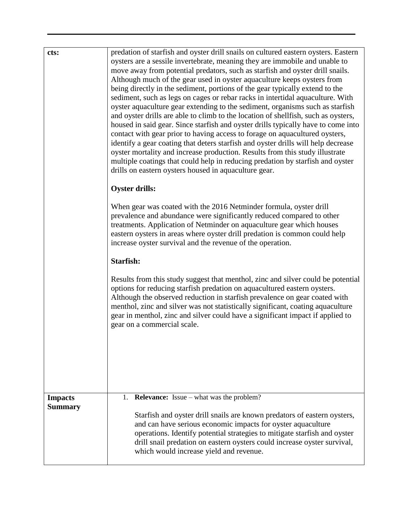| cts:                             | predation of starfish and oyster drill snails on cultured eastern oysters. Eastern<br>oysters are a sessile invertebrate, meaning they are immobile and unable to<br>move away from potential predators, such as starfish and oyster drill snails.<br>Although much of the gear used in oyster aquaculture keeps oysters from<br>being directly in the sediment, portions of the gear typically extend to the<br>sediment, such as legs on cages or rebar racks in intertidal aquaculture. With<br>oyster aquaculture gear extending to the sediment, organisms such as starfish<br>and oyster drills are able to climb to the location of shellfish, such as oysters,<br>housed in said gear. Since starfish and oyster drills typically have to come into<br>contact with gear prior to having access to forage on aquacultured oysters,<br>identify a gear coating that deters starfish and oyster drills will help decrease<br>oyster mortality and increase production. Results from this study illustrate<br>multiple coatings that could help in reducing predation by starfish and oyster<br>drills on eastern oysters housed in aquaculture gear.<br><b>Oyster drills:</b><br>When gear was coated with the 2016 Netminder formula, oyster drill<br>prevalence and abundance were significantly reduced compared to other<br>treatments. Application of Netminder on aquaculture gear which houses<br>eastern oysters in areas where oyster drill predation is common could help<br>increase oyster survival and the revenue of the operation.<br>Starfish:<br>Results from this study suggest that menthol, zinc and silver could be potential<br>options for reducing starfish predation on aquacultured eastern oysters.<br>Although the observed reduction in starfish prevalence on gear coated with<br>menthol, zinc and silver was not statistically significant, coating aquaculture<br>gear in menthol, zinc and silver could have a significant impact if applied to<br>gear on a commercial scale. |
|----------------------------------|------------------------------------------------------------------------------------------------------------------------------------------------------------------------------------------------------------------------------------------------------------------------------------------------------------------------------------------------------------------------------------------------------------------------------------------------------------------------------------------------------------------------------------------------------------------------------------------------------------------------------------------------------------------------------------------------------------------------------------------------------------------------------------------------------------------------------------------------------------------------------------------------------------------------------------------------------------------------------------------------------------------------------------------------------------------------------------------------------------------------------------------------------------------------------------------------------------------------------------------------------------------------------------------------------------------------------------------------------------------------------------------------------------------------------------------------------------------------------------------------------------------------------------------------------------------------------------------------------------------------------------------------------------------------------------------------------------------------------------------------------------------------------------------------------------------------------------------------------------------------------------------------------------------------------------------------------------------------------------------------------------------------|
| <b>Impacts</b><br><b>Summary</b> | <b>Relevance:</b> Issue – what was the problem?<br>1.                                                                                                                                                                                                                                                                                                                                                                                                                                                                                                                                                                                                                                                                                                                                                                                                                                                                                                                                                                                                                                                                                                                                                                                                                                                                                                                                                                                                                                                                                                                                                                                                                                                                                                                                                                                                                                                                                                                                                                  |
|                                  | Starfish and oyster drill snails are known predators of eastern oysters,<br>and can have serious economic impacts for oyster aquaculture<br>operations. Identify potential strategies to mitigate starfish and oyster<br>drill snail predation on eastern oysters could increase oyster survival,<br>which would increase yield and revenue.                                                                                                                                                                                                                                                                                                                                                                                                                                                                                                                                                                                                                                                                                                                                                                                                                                                                                                                                                                                                                                                                                                                                                                                                                                                                                                                                                                                                                                                                                                                                                                                                                                                                           |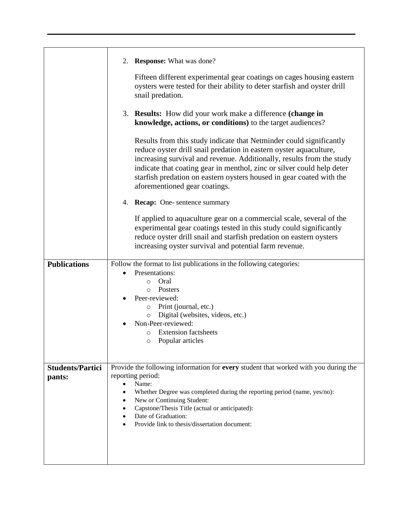|                         | <b>Response:</b> What was done?<br>2.                                                                                                                                                                                                                                                                                                                                                                 |
|-------------------------|-------------------------------------------------------------------------------------------------------------------------------------------------------------------------------------------------------------------------------------------------------------------------------------------------------------------------------------------------------------------------------------------------------|
|                         | Fifteen different experimental gear coatings on cages housing eastern<br>oysters were tested for their ability to deter starfish and oyster drill<br>snail predation.                                                                                                                                                                                                                                 |
|                         | 3. Results: How did your work make a difference (change in<br>knowledge, actions, or conditions) to the target audiences?                                                                                                                                                                                                                                                                             |
|                         | Results from this study indicate that Netminder could significantly<br>reduce oyster drill snail predation in eastern oyster aquaculture,<br>increasing survival and revenue. Additionally, results from the study<br>indicate that coating gear in menthol, zinc or silver could help deter<br>starfish predation on eastern oysters housed in gear coated with the<br>aforementioned gear coatings. |
|                         | 4. Recap: One-sentence summary                                                                                                                                                                                                                                                                                                                                                                        |
|                         | If applied to aquaculture gear on a commercial scale, several of the<br>experimental gear coatings tested in this study could significantly<br>reduce oyster drill snail and starfish predation on eastern oysters<br>increasing oyster survival and potential farm revenue.                                                                                                                          |
| <b>Publications</b>     | Follow the format to list publications in the following categories:                                                                                                                                                                                                                                                                                                                                   |
|                         | Presentations:                                                                                                                                                                                                                                                                                                                                                                                        |
|                         | Oral<br>$\circ$<br>Posters<br>$\circ$                                                                                                                                                                                                                                                                                                                                                                 |
|                         | Peer-reviewed:                                                                                                                                                                                                                                                                                                                                                                                        |
|                         | Print (journal, etc.)<br>$\circ$                                                                                                                                                                                                                                                                                                                                                                      |
|                         | Digital (websites, videos, etc.)<br>$\circ$                                                                                                                                                                                                                                                                                                                                                           |
|                         | Non-Peer-reviewed:                                                                                                                                                                                                                                                                                                                                                                                    |
|                         | <b>Extension factsheets</b><br>O<br>$\circ$ Popular articles                                                                                                                                                                                                                                                                                                                                          |
|                         |                                                                                                                                                                                                                                                                                                                                                                                                       |
|                         |                                                                                                                                                                                                                                                                                                                                                                                                       |
| <b>Students/Partici</b> | Provide the following information for every student that worked with you during the                                                                                                                                                                                                                                                                                                                   |
| pants:                  | reporting period:<br>Name:<br>$\bullet$                                                                                                                                                                                                                                                                                                                                                               |
|                         | Whether Degree was completed during the reporting period (name, yes/no):                                                                                                                                                                                                                                                                                                                              |
|                         | New or Continuing Student:                                                                                                                                                                                                                                                                                                                                                                            |
|                         | Capstone/Thesis Title (actual or anticipated):<br>Date of Graduation:                                                                                                                                                                                                                                                                                                                                 |
|                         |                                                                                                                                                                                                                                                                                                                                                                                                       |
|                         | Provide link to thesis/dissertation document:                                                                                                                                                                                                                                                                                                                                                         |
|                         |                                                                                                                                                                                                                                                                                                                                                                                                       |
|                         |                                                                                                                                                                                                                                                                                                                                                                                                       |